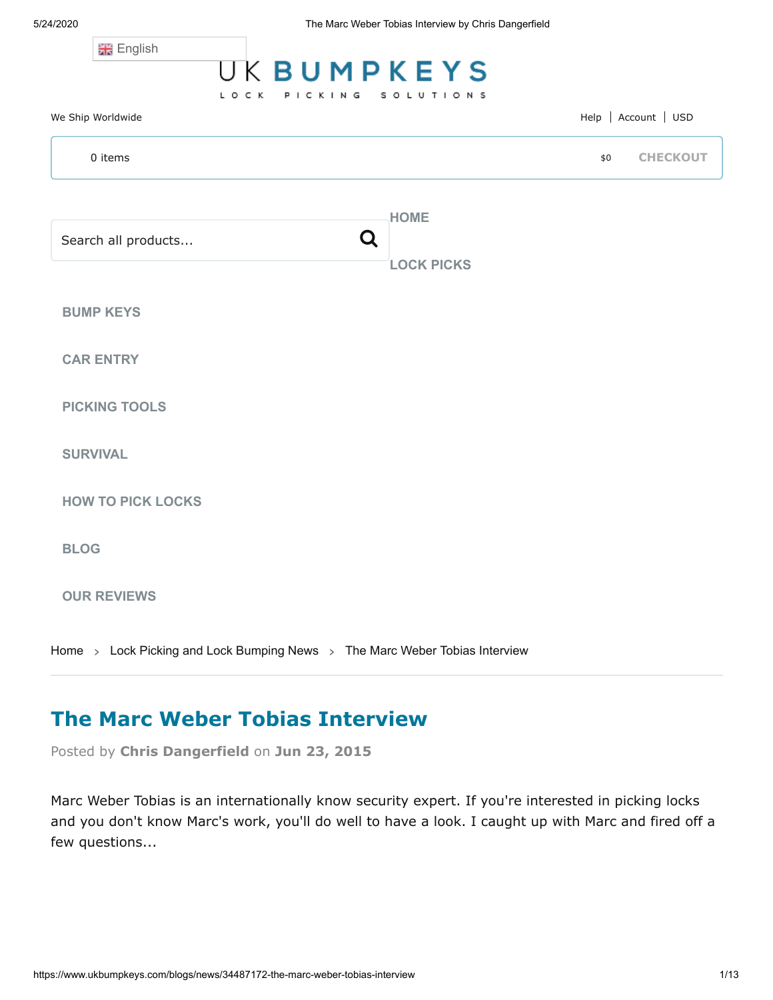| <b>He</b> English         | <b>UKBUMPKEYS</b>              |     |                      |
|---------------------------|--------------------------------|-----|----------------------|
| LOCK<br>We Ship Worldwide | PICKING<br><b>SOLUTIONS</b>    |     | Help   Account   USD |
| 0 items                   |                                | \$0 | <b>CHECKOUT</b>      |
| Search all products       | HOME<br>Q<br><b>LOCK PICKS</b> |     |                      |
| <b>BUMP KEYS</b>          |                                |     |                      |
| <b>CAR ENTRY</b>          |                                |     |                      |
| <b>PICKING TOOLS</b>      |                                |     |                      |
| <b>SURVIVAL</b>           |                                |     |                      |
| <b>HOW TO PICK LOCKS</b>  |                                |     |                      |
| <b>BLOG</b>               |                                |     |                      |
| <b>OUR REVIEWS</b>        |                                |     |                      |

[Home](https://www.ukbumpkeys.com/) > [Lock Picking and Lock Bumping News](https://www.ukbumpkeys.com/blogs/news) > The Marc Weber Tobias Interview

# **The Marc Weber Tobias Interview**

Posted by **Chris Dangerfield** on **Jun 23, 2015**

Marc Weber Tobias is an internationally know security expert. If you're interested in picking locks and you don't know Marc's work, you'll do well to have a look. I caught up with Marc and fired off a few questions...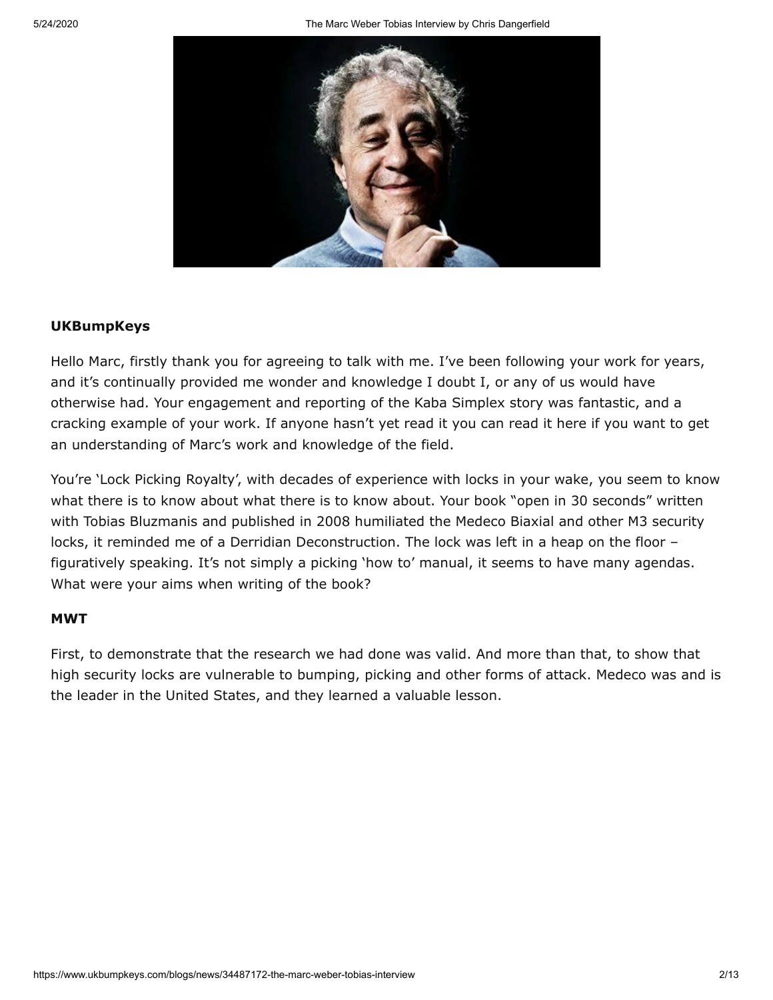5/24/2020 The Marc Weber Tobias Interview by Chris Dangerfield



## **UKBumpKeys**

Hello Marc, firstly thank you for agreeing to talk with me. I've been following your work for years, and it's continually provided me wonder and knowledge I doubt I, or any of us would have otherwise had. Your engagement and reporting of the Kaba Simplex story was fantastic, and a cracking example of your work. If anyone hasn't yet read it you can read it here if you want to get an understanding of Marc's work and knowledge of the field.

You're 'Lock Picking Royalty', with decades of experience with locks in your wake, you seem to know what there is to know about what there is to know about. Your book "open in 30 seconds" written with Tobias Bluzmanis and published in 2008 humiliated the Medeco Biaxial and other M3 security locks, it reminded me of a Derridian Deconstruction. The lock was left in a heap on the floor – figuratively speaking. It's not simply a picking 'how to' manual, it seems to have many agendas. What were your aims when writing of the book?

## **MWT**

First, to demonstrate that the research we had done was valid. And more than that, to show that high security locks are vulnerable to bumping, picking and other forms of attack. Medeco was and is the leader in the United States, and they learned a valuable lesson.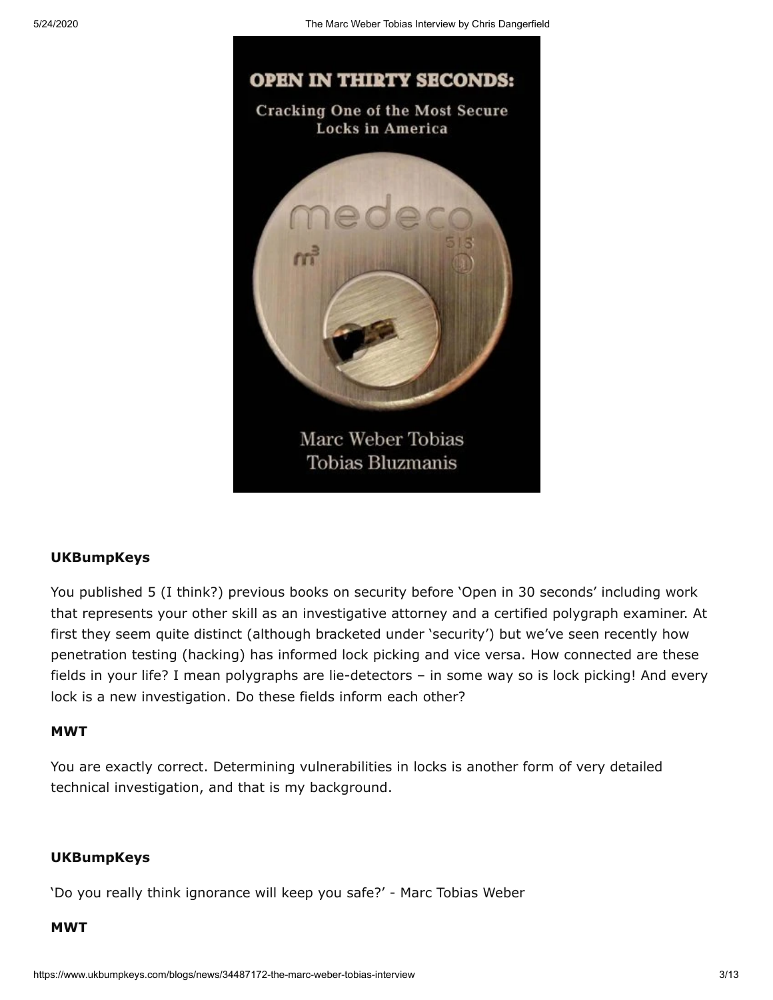

## **UKBumpKeys**

You published 5 (I think?) previous books on security before 'Open in 30 seconds' including work that represents your other skill as an investigative attorney and a certified polygraph examiner. At first they seem quite distinct (although bracketed under 'security') but we've seen recently how penetration testing (hacking) has informed lock picking and vice versa. How connected are these fields in your life? I mean polygraphs are lie-detectors – in some way so is lock picking! And every lock is a new investigation. Do these fields inform each other?

#### **MWT**

You are exactly correct. Determining vulnerabilities in locks is another form of very detailed technical investigation, and that is my background.

## **UKBumpKeys**

'Do you really think ignorance will keep you safe?' - Marc Tobias Weber

#### **MWT**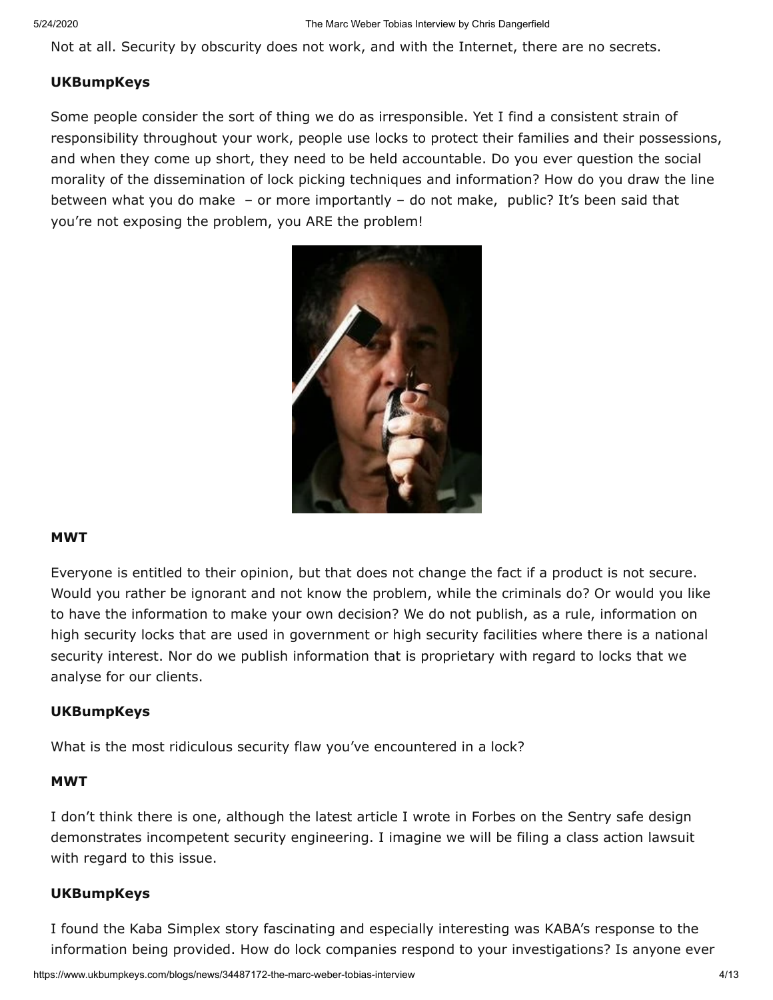Not at all. Security by obscurity does not work, and with the Internet, there are no secrets.

### **UKBumpKeys**

Some people consider the sort of thing we do as irresponsible. Yet I find a consistent strain of responsibility throughout your work, people use locks to protect their families and their possessions, and when they come up short, they need to be held accountable. Do you ever question the social morality of the dissemination of lock picking techniques and information? How do you draw the line between what you do make – or more importantly – do not make, public? It's been said that you're not exposing the problem, you ARE the problem!



## **MWT**

Everyone is entitled to their opinion, but that does not change the fact if a product is not secure. Would you rather be ignorant and not know the problem, while the criminals do? Or would you like to have the information to make your own decision? We do not publish, as a rule, information on high security locks that are used in government or high security facilities where there is a national security interest. Nor do we publish information that is proprietary with regard to locks that we analyse for our clients.

#### **UKBumpKeys**

What is the most ridiculous security flaw you've encountered in a lock?

#### **MWT**

I don't think there is one, although the latest article I wrote in Forbes on the Sentry safe design demonstrates incompetent security engineering. I imagine we will be filing a class action lawsuit with regard to this issue.

#### **UKBumpKeys**

I found the Kaba Simplex story fascinating and especially interesting was KABA's response to the information being provided. How do lock companies respond to your investigations? Is anyone ever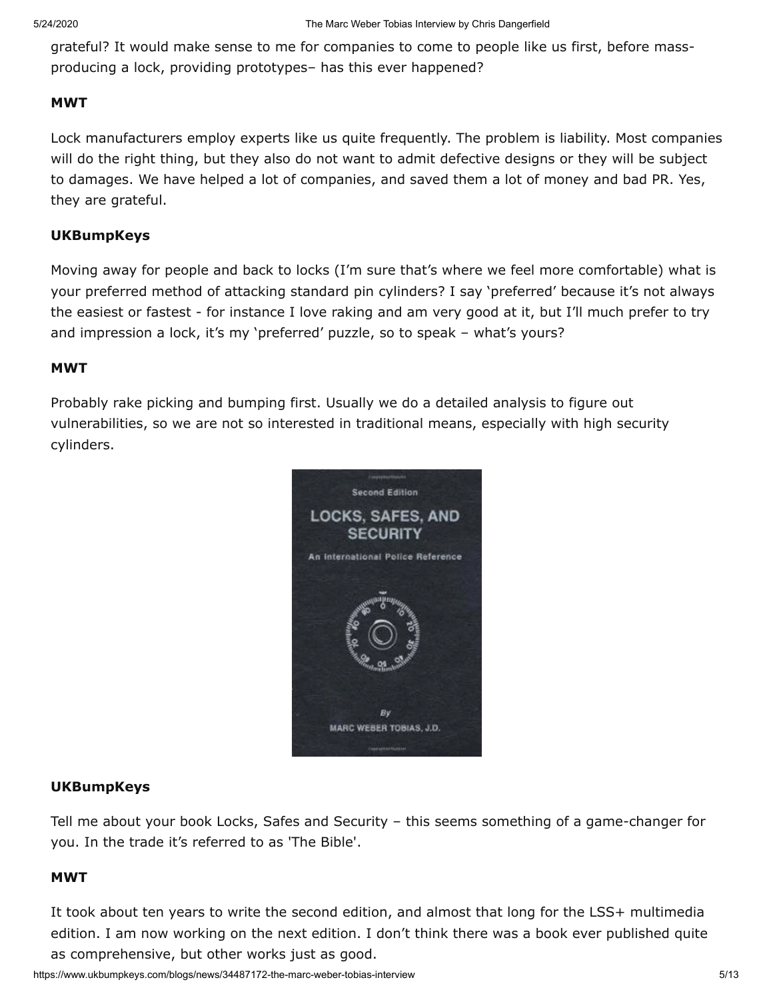grateful? It would make sense to me for companies to come to people like us first, before massproducing a lock, providing prototypes– has this ever happened?

## **MWT**

Lock manufacturers employ experts like us quite frequently. The problem is liability. Most companies will do the right thing, but they also do not want to admit defective designs or they will be subject to damages. We have helped a lot of companies, and saved them a lot of money and bad PR. Yes, they are grateful.

## **UKBumpKeys**

Moving away for people and back to locks (I'm sure that's where we feel more comfortable) what is your preferred method of attacking standard pin cylinders? I say 'preferred' because it's not always the easiest or fastest - for instance I love raking and am very good at it, but I'll much prefer to try and impression a lock, it's my 'preferred' puzzle, so to speak – what's yours?

## **MWT**

Probably rake picking and bumping first. Usually we do a detailed analysis to figure out vulnerabilities, so we are not so interested in traditional means, especially with high security cylinders.



## **UKBumpKeys**

Tell me about your book Locks, Safes and Security – this seems something of a game-changer for you. In the trade it's referred to as 'The Bible'.

## **MWT**

It took about ten years to write the second edition, and almost that long for the LSS+ multimedia edition. I am now working on the next edition. I don't think there was a book ever published quite as comprehensive, but other works just as good.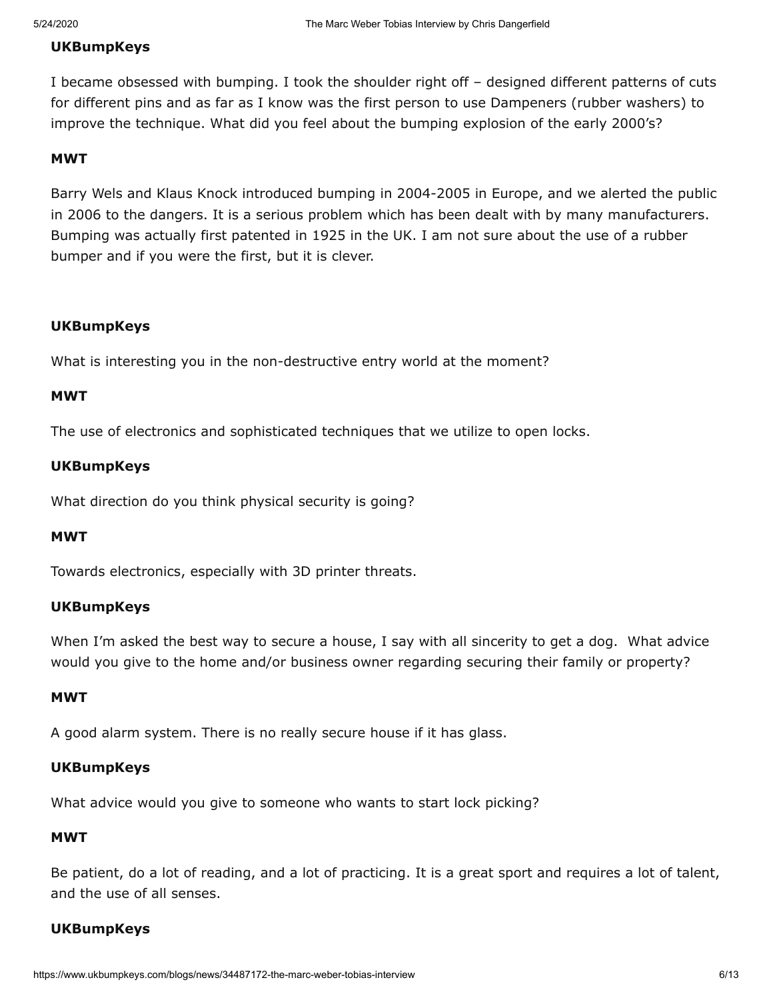#### **UKBumpKeys**

I became obsessed with bumping. I took the shoulder right off – designed different patterns of cuts for different pins and as far as I know was the first person to use Dampeners (rubber washers) to improve the technique. What did you feel about the bumping explosion of the early 2000's?

#### **MWT**

Barry Wels and Klaus Knock introduced bumping in 2004-2005 in Europe, and we alerted the public in 2006 to the dangers. It is a serious problem which has been dealt with by many manufacturers. Bumping was actually first patented in 1925 in the UK. I am not sure about the use of a rubber bumper and if you were the first, but it is clever.

#### **UKBumpKeys**

What is interesting you in the non-destructive entry world at the moment?

#### **MWT**

The use of electronics and sophisticated techniques that we utilize to open locks.

#### **UKBumpKeys**

What direction do you think physical security is going?

## **MWT**

Towards electronics, especially with 3D printer threats.

#### **UKBumpKeys**

When I'm asked the best way to secure a house, I say with all sincerity to get a dog. What advice would you give to the home and/or business owner regarding securing their family or property?

#### **MWT**

A good alarm system. There is no really secure house if it has glass.

#### **UKBumpKeys**

What advice would you give to someone who wants to start lock picking?

#### **MWT**

Be patient, do a lot of reading, and a lot of practicing. It is a great sport and requires a lot of talent, and the use of all senses.

#### **UKBumpKeys**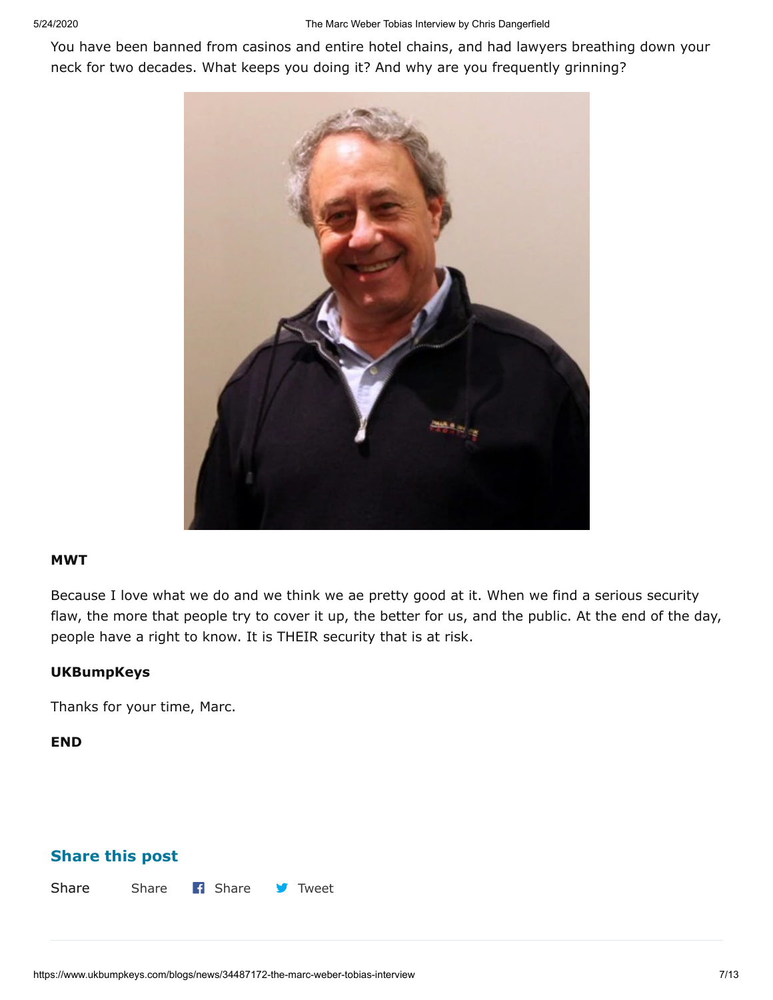You have been banned from casinos and entire hotel chains, and had lawyers breathing down your neck for two decades. What keeps you doing it? And why are you frequently grinning?



#### **MWT**

Because I love what we do and we think we ae pretty good at it. When we find a serious security flaw, the more that people try to cover it up, the better for us, and the public. At the end of the day, people have a right to know. It is THEIR security that is at risk.

## **UKBumpKeys**

Thanks for your time, Marc.

**END**

## **Share this post**

| Share<br><b>R</b> Share<br>Share | Tweet |
|----------------------------------|-------|
|----------------------------------|-------|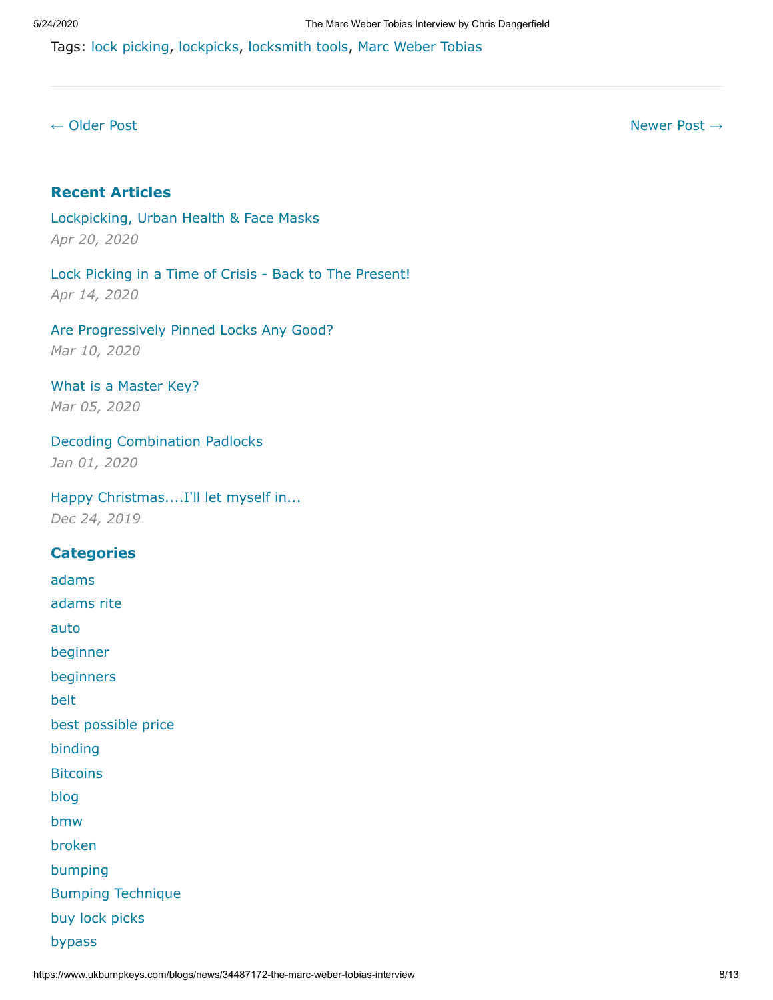Tags: [lock picking](https://www.ukbumpkeys.com/blogs/news/tagged/lock-picking), [lockpicks](https://www.ukbumpkeys.com/blogs/news/tagged/lockpicks), [locksmith tools,](https://www.ukbumpkeys.com/blogs/news/tagged/locksmith-tools) [Marc Weber Tobias](https://www.ukbumpkeys.com/blogs/news/tagged/marc-weber-tobias)

← [Older Post](https://www.ukbumpkeys.com/blogs/news/26881604-the-oliver-diederichsen-interview) [Newer Post](https://www.ukbumpkeys.com/blogs/news/34770180-lock-picking-mailing-list-and-discount-tension-tools) →

### **Recent Articles**

[Lockpicking, Urban Health & Face Masks](https://www.ukbumpkeys.com/blogs/news/lockpicking-urban-health-face-masks) *Apr 20, 2020*

[Lock Picking in a Time of Crisis - Back to The Present!](https://www.ukbumpkeys.com/blogs/news/lock-picking-in-a-time-of-crisis) *Apr 14, 2020*

[Are Progressively Pinned Locks Any Good?](https://www.ukbumpkeys.com/blogs/news/are-progressively-pinned-locks-any-good) *Mar 10, 2020*

## [What is a Master Key?](https://www.ukbumpkeys.com/blogs/news/master-key-dreams) *Mar 05, 2020*

[Decoding Combination Padlocks](https://www.ukbumpkeys.com/blogs/news/decoding-combination-padlocks) *Jan 01, 2020*

[Happy Christmas....I'll let myself in...](https://www.ukbumpkeys.com/blogs/news/happy-christmas-ill-let-myself-in) *Dec 24, 2019*

## **Categories**

| adams                    |
|--------------------------|
| adams rite               |
| auto                     |
| beginner                 |
| beginners                |
| belt                     |
| best possible price      |
| binding                  |
| <b>Bitcoins</b>          |
| blog                     |
| bmw                      |
| broken                   |
| bumping                  |
| <b>Bumping Technique</b> |
| buy lock picks           |
| bypass                   |
|                          |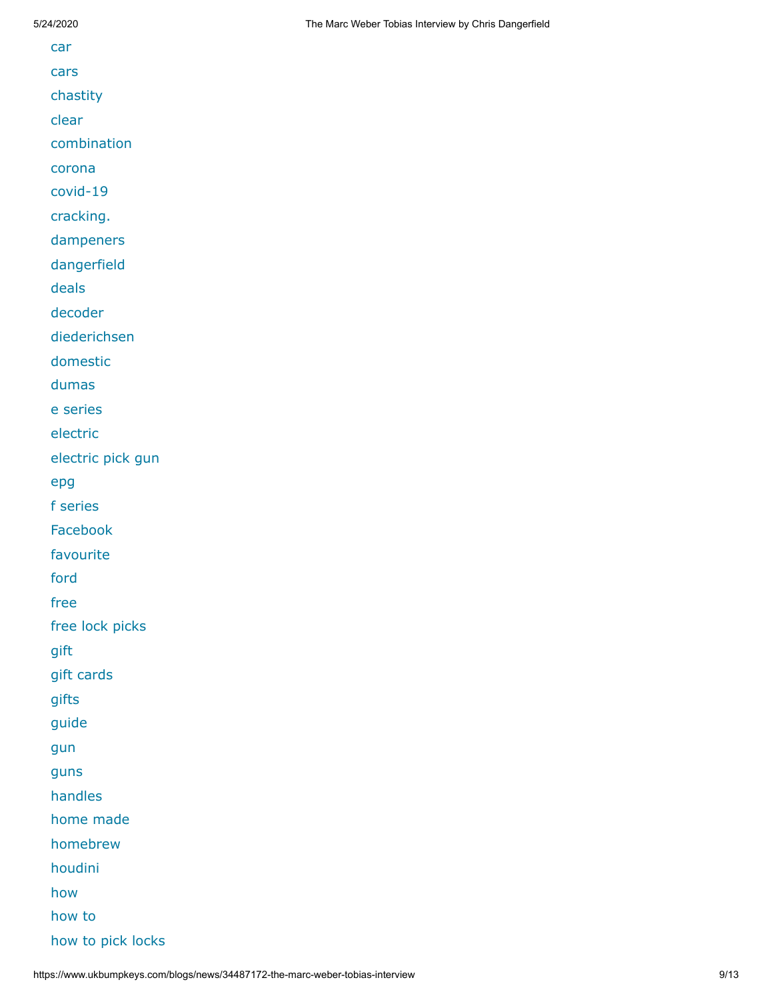- [car](https://www.ukbumpkeys.com/blogs/news/tagged/car)
- [cars](https://www.ukbumpkeys.com/blogs/news/tagged/cars)
- [chastity](https://www.ukbumpkeys.com/blogs/news/tagged/chastity)
- [clear](https://www.ukbumpkeys.com/blogs/news/tagged/clear)
- [combination](https://www.ukbumpkeys.com/blogs/news/tagged/combination)
- [corona](https://www.ukbumpkeys.com/blogs/news/tagged/corona)
- [covid-19](https://www.ukbumpkeys.com/blogs/news/tagged/covid-19)
- [cracking.](https://www.ukbumpkeys.com/blogs/news/tagged/cracking)
- [dampeners](https://www.ukbumpkeys.com/blogs/news/tagged/dampeners)
- [dangerfield](https://www.ukbumpkeys.com/blogs/news/tagged/dangerfield)
- [deals](https://www.ukbumpkeys.com/blogs/news/tagged/deals)
- [decoder](https://www.ukbumpkeys.com/blogs/news/tagged/decoder)
- [diederichsen](https://www.ukbumpkeys.com/blogs/news/tagged/diederichsen)
- [domestic](https://www.ukbumpkeys.com/blogs/news/tagged/domestic)
- [dumas](https://www.ukbumpkeys.com/blogs/news/tagged/dumas)
- [e series](https://www.ukbumpkeys.com/blogs/news/tagged/e-series)
- [electric](https://www.ukbumpkeys.com/blogs/news/tagged/electric)
- [electric pick gun](https://www.ukbumpkeys.com/blogs/news/tagged/electric-pick-gun)
- [epg](https://www.ukbumpkeys.com/blogs/news/tagged/epg)
- [f series](https://www.ukbumpkeys.com/blogs/news/tagged/f-series)
- [Facebook](https://www.ukbumpkeys.com/blogs/news/tagged/facebook)
- [favourite](https://www.ukbumpkeys.com/blogs/news/tagged/favourite)
- [ford](https://www.ukbumpkeys.com/blogs/news/tagged/ford)
- [free](https://www.ukbumpkeys.com/blogs/news/tagged/free)
- [free lock picks](https://www.ukbumpkeys.com/blogs/news/tagged/free-lock-picks)
- [gift](https://www.ukbumpkeys.com/blogs/news/tagged/gift)
- [gift cards](https://www.ukbumpkeys.com/blogs/news/tagged/gift-cards)
- [gifts](https://www.ukbumpkeys.com/blogs/news/tagged/gifts)
- [guide](https://www.ukbumpkeys.com/blogs/news/tagged/guide)
- [gun](https://www.ukbumpkeys.com/blogs/news/tagged/gun)
- [guns](https://www.ukbumpkeys.com/blogs/news/tagged/guns)
- [handles](https://www.ukbumpkeys.com/blogs/news/tagged/handles)
- [home made](https://www.ukbumpkeys.com/blogs/news/tagged/home-made)
- [homebrew](https://www.ukbumpkeys.com/blogs/news/tagged/homebrew)
- [houdini](https://www.ukbumpkeys.com/blogs/news/tagged/houdini)
- [how](https://www.ukbumpkeys.com/blogs/news/tagged/how)
- [how to](https://www.ukbumpkeys.com/blogs/news/tagged/how-to)
- [how to pick locks](https://www.ukbumpkeys.com/blogs/news/tagged/how-to-pick-locks)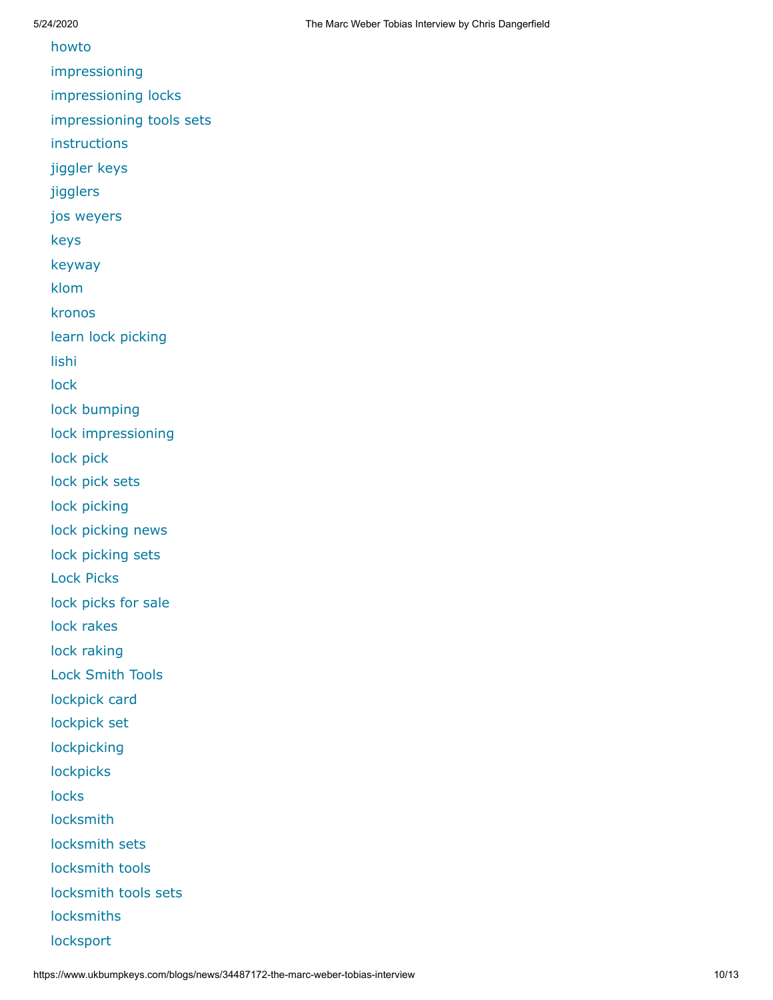[howto](https://www.ukbumpkeys.com/blogs/news/tagged/howto)

[impressioning](https://www.ukbumpkeys.com/blogs/news/tagged/impressioning)

[impressioning locks](https://www.ukbumpkeys.com/blogs/news/tagged/impressioning-locks)

[impressioning tools sets](https://www.ukbumpkeys.com/blogs/news/tagged/impressioning-tools-sets)

[instructions](https://www.ukbumpkeys.com/blogs/news/tagged/instructions)

[jiggler keys](https://www.ukbumpkeys.com/blogs/news/tagged/jiggler-keys)

[jigglers](https://www.ukbumpkeys.com/blogs/news/tagged/jigglers)

[jos weyers](https://www.ukbumpkeys.com/blogs/news/tagged/jos-weyers)

[keys](https://www.ukbumpkeys.com/blogs/news/tagged/keys)

[keyway](https://www.ukbumpkeys.com/blogs/news/tagged/keyway)

[klom](https://www.ukbumpkeys.com/blogs/news/tagged/klom)

[kronos](https://www.ukbumpkeys.com/blogs/news/tagged/kronos)

[learn lock picking](https://www.ukbumpkeys.com/blogs/news/tagged/learn-lock-picking)

[lishi](https://www.ukbumpkeys.com/blogs/news/tagged/lishi)

[lock](https://www.ukbumpkeys.com/blogs/news/tagged/lock)

[lock bumping](https://www.ukbumpkeys.com/blogs/news/tagged/lock-bumping)

[lock impressioning](https://www.ukbumpkeys.com/blogs/news/tagged/lock-impressioning)

[lock pick](https://www.ukbumpkeys.com/blogs/news/tagged/lock-pick)

[lock pick sets](https://www.ukbumpkeys.com/blogs/news/tagged/lock-pick-sets)

[lock picking](https://www.ukbumpkeys.com/blogs/news/tagged/lock-picking)

[lock picking news](https://www.ukbumpkeys.com/blogs/news/tagged/lock-picking-news)

[lock picking sets](https://www.ukbumpkeys.com/blogs/news/tagged/lock-picking-sets)

[Lock Picks](https://www.ukbumpkeys.com/blogs/news/tagged/lock-picks)

[lock picks for sale](https://www.ukbumpkeys.com/blogs/news/tagged/lock-picks-for-sale)

[lock rakes](https://www.ukbumpkeys.com/blogs/news/tagged/lock-rakes)

[lock raking](https://www.ukbumpkeys.com/blogs/news/tagged/lock-raking)

[Lock Smith Tools](https://www.ukbumpkeys.com/blogs/news/tagged/lock-smith-tools)

[lockpick card](https://www.ukbumpkeys.com/blogs/news/tagged/lockpick-card)

[lockpick set](https://www.ukbumpkeys.com/blogs/news/tagged/lockpick-set)

[lockpicking](https://www.ukbumpkeys.com/blogs/news/tagged/lockpicking)

**[lockpicks](https://www.ukbumpkeys.com/blogs/news/tagged/lockpicks)** 

[locks](https://www.ukbumpkeys.com/blogs/news/tagged/locks)

[locksmith](https://www.ukbumpkeys.com/blogs/news/tagged/locksmith)

[locksmith sets](https://www.ukbumpkeys.com/blogs/news/tagged/locksmith-sets)

[locksmith tools](https://www.ukbumpkeys.com/blogs/news/tagged/locksmith-tools)

[locksmith tools sets](https://www.ukbumpkeys.com/blogs/news/tagged/locksmith-tools-sets)

[locksmiths](https://www.ukbumpkeys.com/blogs/news/tagged/locksmiths)

[locksport](https://www.ukbumpkeys.com/blogs/news/tagged/locksport)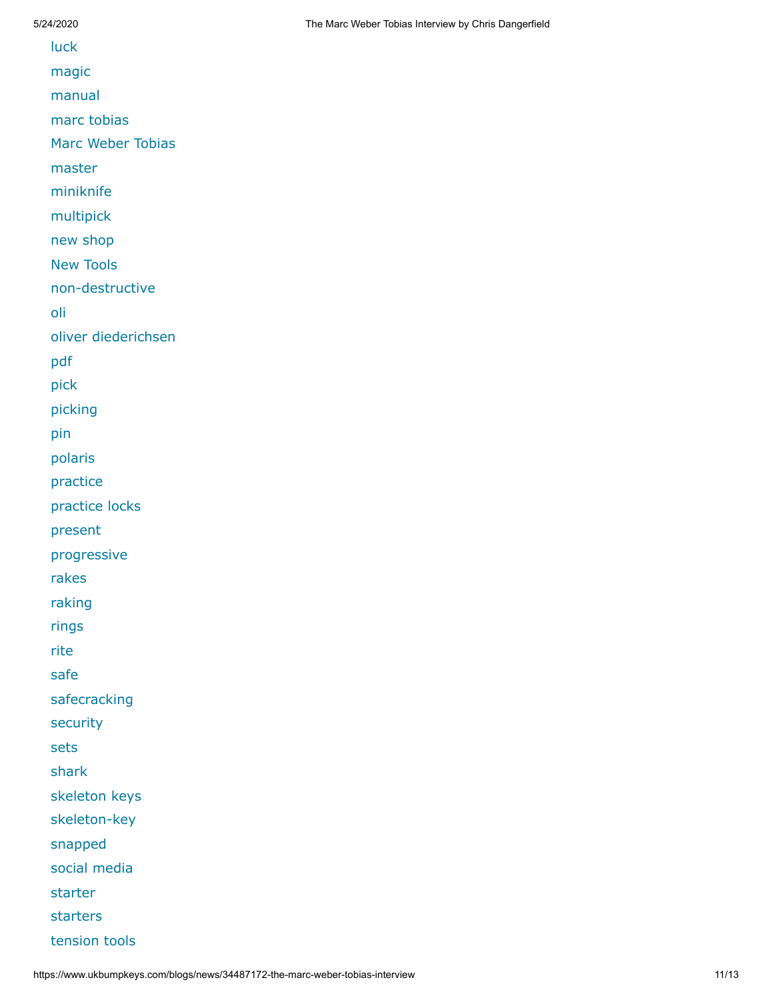[luck](https://www.ukbumpkeys.com/blogs/news/tagged/luck)

[magic](https://www.ukbumpkeys.com/blogs/news/tagged/magic)

[manual](https://www.ukbumpkeys.com/blogs/news/tagged/manual)

[marc tobias](https://www.ukbumpkeys.com/blogs/news/tagged/marc-tobias)

[Marc Weber Tobias](https://www.ukbumpkeys.com/blogs/news/tagged/marc-weber-tobias)

[master](https://www.ukbumpkeys.com/blogs/news/tagged/master)

[miniknife](https://www.ukbumpkeys.com/blogs/news/tagged/miniknife)

[multipick](https://www.ukbumpkeys.com/blogs/news/tagged/multipick)

[new shop](https://www.ukbumpkeys.com/blogs/news/tagged/new-shop)

[New Tools](https://www.ukbumpkeys.com/blogs/news/tagged/new-tools)

[non-destructive](https://www.ukbumpkeys.com/blogs/news/tagged/non-destructive)

[oli](https://www.ukbumpkeys.com/blogs/news/tagged/oli)

[oliver diederichsen](https://www.ukbumpkeys.com/blogs/news/tagged/oliver-diederichsen)

[pdf](https://www.ukbumpkeys.com/blogs/news/tagged/pdf)

[pick](https://www.ukbumpkeys.com/blogs/news/tagged/pick)

[picking](https://www.ukbumpkeys.com/blogs/news/tagged/picking)

[pin](https://www.ukbumpkeys.com/blogs/news/tagged/pin)

[polaris](https://www.ukbumpkeys.com/blogs/news/tagged/polaris)

[practice](https://www.ukbumpkeys.com/blogs/news/tagged/practice)

[practice locks](https://www.ukbumpkeys.com/blogs/news/tagged/practice-locks)

[present](https://www.ukbumpkeys.com/blogs/news/tagged/present)

[progressive](https://www.ukbumpkeys.com/blogs/news/tagged/progressive)

[rakes](https://www.ukbumpkeys.com/blogs/news/tagged/rakes)

[raking](https://www.ukbumpkeys.com/blogs/news/tagged/raking)

[rings](https://www.ukbumpkeys.com/blogs/news/tagged/rings)

[rite](https://www.ukbumpkeys.com/blogs/news/tagged/rite)

[safe](https://www.ukbumpkeys.com/blogs/news/tagged/safe)

[safecracking](https://www.ukbumpkeys.com/blogs/news/tagged/safecracking)

[security](https://www.ukbumpkeys.com/blogs/news/tagged/security)

[sets](https://www.ukbumpkeys.com/blogs/news/tagged/sets)

[shark](https://www.ukbumpkeys.com/blogs/news/tagged/shark)

[skeleton keys](https://www.ukbumpkeys.com/blogs/news/tagged/skeleton-keys)

[skeleton-key](https://www.ukbumpkeys.com/blogs/news/tagged/skeleton-key)

[snapped](https://www.ukbumpkeys.com/blogs/news/tagged/snapped)

[social media](https://www.ukbumpkeys.com/blogs/news/tagged/social-media)

[starter](https://www.ukbumpkeys.com/blogs/news/tagged/starter)

[starters](https://www.ukbumpkeys.com/blogs/news/tagged/starters)

[tension tools](https://www.ukbumpkeys.com/blogs/news/tagged/tension-tools)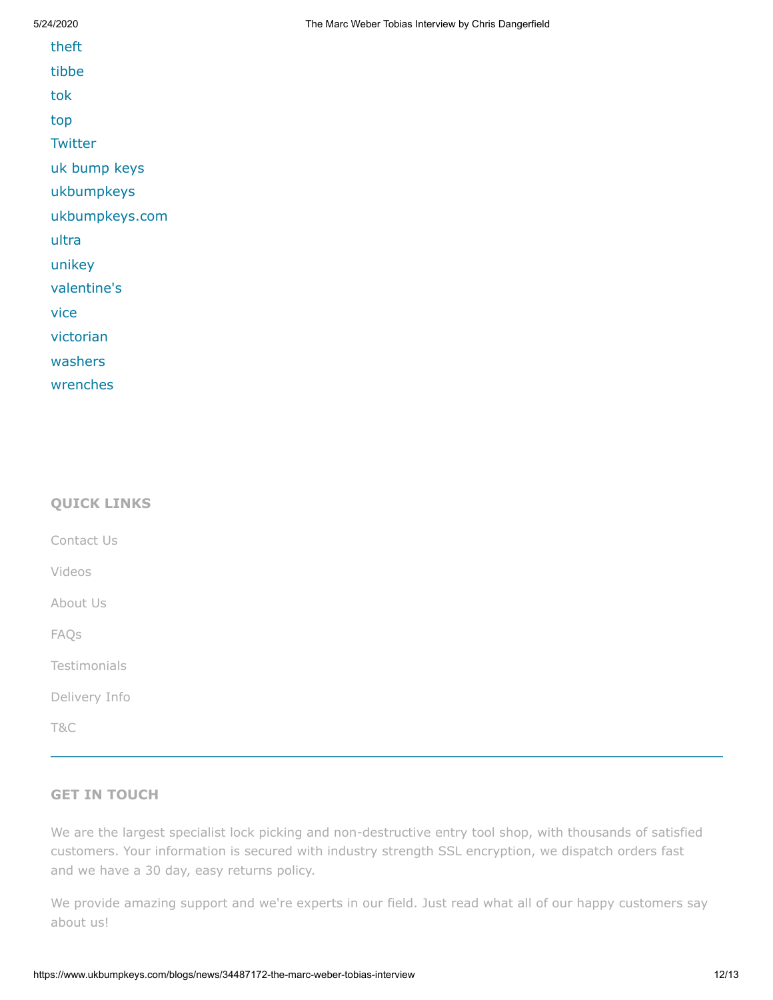|          | u. |     | ٠ |   |
|----------|----|-----|---|---|
| -<br>. . |    | - 1 |   | × |

- [tibbe](https://www.ukbumpkeys.com/blogs/news/tagged/tibbe)
- [tok](https://www.ukbumpkeys.com/blogs/news/tagged/tok)
- [top](https://www.ukbumpkeys.com/blogs/news/tagged/top)
- **[Twitter](https://www.ukbumpkeys.com/blogs/news/tagged/twitter)**
- [uk bump keys](https://www.ukbumpkeys.com/blogs/news/tagged/uk-bump-keys)
- [ukbumpkeys](https://www.ukbumpkeys.com/blogs/news/tagged/ukbumpkeys)
- [ukbumpkeys.com](https://www.ukbumpkeys.com/blogs/news/tagged/ukbumpkeys-com)
- [ultra](https://www.ukbumpkeys.com/blogs/news/tagged/ultra)
- [unikey](https://www.ukbumpkeys.com/blogs/news/tagged/unikey)
- [valentine's](https://www.ukbumpkeys.com/blogs/news/tagged/valentines)
- [vice](https://www.ukbumpkeys.com/blogs/news/tagged/vice)
- [victorian](https://www.ukbumpkeys.com/blogs/news/tagged/victorian)
- [washers](https://www.ukbumpkeys.com/blogs/news/tagged/washers)
- [wrenches](https://www.ukbumpkeys.com/blogs/news/tagged/wrenches)

|  |  | <b>QUICK LINKS</b> |
|--|--|--------------------|
|  |  |                    |

[Contact](https://www.ukbumpkeys.com/pages/contact) Us

[Videos](https://www.ukbumpkeys.com/pages/video-tutorials)

[About](https://www.ukbumpkeys.com/pages/about-us) Us

[FAQs](https://www.ukbumpkeys.com/pages/faqs)

**[Testimonials](https://www.ukbumpkeys.com/a/review/all)** 

[Delivery](https://www.ukbumpkeys.com/pages/delivery-info) Info

[T&C](https://www.ukbumpkeys.com/pages/terms)

## **GET IN TOUCH**

We are the largest specialist lock picking and non-destructive entry tool shop, with thousands of satisfied customers. Your information is secured with industry strength SSL encryption, we dispatch orders fast and we have a 30 day, easy returns policy.

We provide amazing support and we're experts in our field. Just read what all of our happy customers say about us!